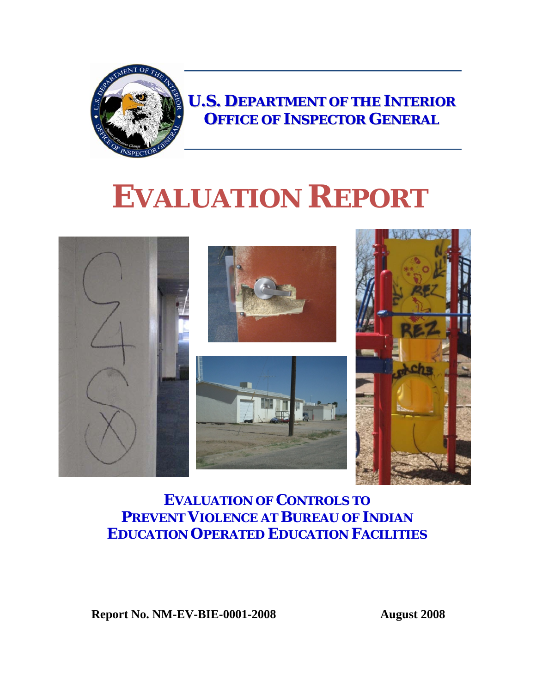

**U.S. DEPARTMENT OF THE INTERIOR OFFICE OF INSPECTOR GENERAL**

# **EVALUATION REPORT**



#### **EVALUATION OF CONTROLS TO PREVENT VIOLENCE AT BUREAU OF INDIAN EDUCATION OPERATED EDUCATION FACILITIES**

**Report No. NM-EV-BIE-0001-2008 August 2008**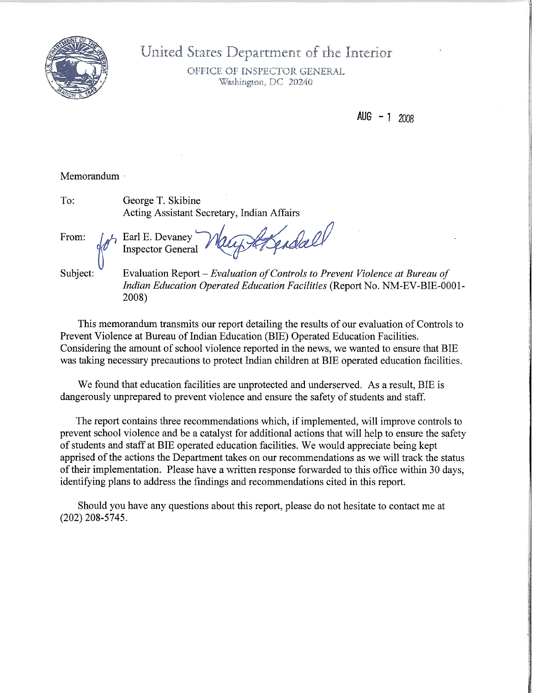

United States Department of the Interior

OFFICE OF INSPECTOR GENERAL Washington, DC 20240

AUG  $-1$  2008

#### Memorandum

To: George T. Skibine Acting Assistant Secretary, Indian Affairs

Earl E. Devaney

**Inspector General** 

From:

Subject:

Evaluation Report - Evaluation of Controls to Prevent Violence at Bureau of **Indian Education Operated Education Facilities (Report No. NM-EV-BIE-0001-**2008)

Fotopdall

This memorandum transmits our report detailing the results of our evaluation of Controls to Prevent Violence at Bureau of Indian Education (BIE) Operated Education Facilities. Considering the amount of school violence reported in the news, we wanted to ensure that BIE was taking necessary precautions to protect Indian children at BIE operated education facilities.

We found that education facilities are unprotected and underserved. As a result, BIE is dangerously unprepared to prevent violence and ensure the safety of students and staff.

The report contains three recommendations which, if implemented, will improve controls to prevent school violence and be a catalyst for additional actions that will help to ensure the safety of students and staff at BIE operated education facilities. We would appreciate being kept apprised of the actions the Department takes on our recommendations as we will track the status of their implementation. Please have a written response forwarded to this office within 30 days, identifying plans to address the findings and recommendations cited in this report.

Should you have any questions about this report, please do not hesitate to contact me at  $(202)$  208-5745.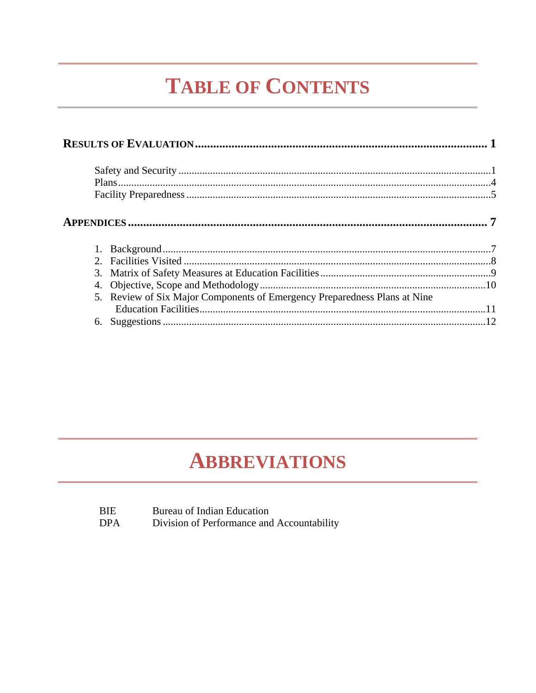## **TABLE OF CONTENTS**

| 5. Review of Six Major Components of Emergency Preparedness Plans at Nine |  |
|---------------------------------------------------------------------------|--|
|                                                                           |  |
|                                                                           |  |
|                                                                           |  |

### **ABBREVIATIONS**

| <b>BIE</b> | Bureau of Indian Education                 |
|------------|--------------------------------------------|
| <b>DPA</b> | Division of Performance and Accountability |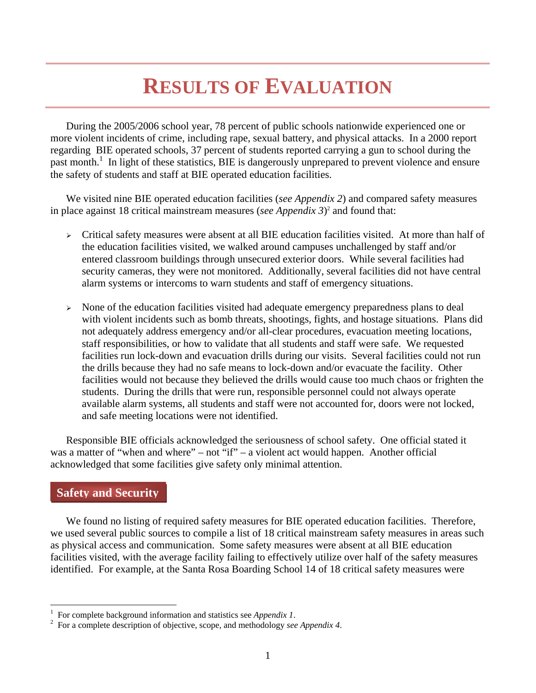## **RESULTS OF EVALUATION**

 During the 2005/2006 school year, 78 percent of public schools nationwide experienced one or more violent incidents of crime, including rape, sexual battery, and physical attacks. In a 2000 report regarding BIE operated schools, 37 percent of students reported carrying a gun to school during the past month.<sup>1</sup> In light of these statistics, BIE is dangerously unprepared to prevent violence and ensure the safety of students and staff at BIE operated education facilities.

 We visited nine BIE operated education facilities (*see Appendix 2*) and compared safety measures in place against 18 critical mainstream measures (*see Appendix 3*) 2 and found that:

- $\triangleright$  Critical safety measures were absent at all BIE education facilities visited. At more than half of the education facilities visited, we walked around campuses unchallenged by staff and/or entered classroom buildings through unsecured exterior doors. While several facilities had security cameras, they were not monitored. Additionally, several facilities did not have central alarm systems or intercoms to warn students and staff of emergency situations.
- <sup>¾</sup> None of the education facilities visited had adequate emergency preparedness plans to deal with violent incidents such as bomb threats, shootings, fights, and hostage situations. Plans did not adequately address emergency and/or all-clear procedures, evacuation meeting locations, staff responsibilities, or how to validate that all students and staff were safe. We requested facilities run lock-down and evacuation drills during our visits. Several facilities could not run the drills because they had no safe means to lock-down and/or evacuate the facility. Other facilities would not because they believed the drills would cause too much chaos or frighten the students. During the drills that were run, responsible personnel could not always operate available alarm systems, all students and staff were not accounted for, doors were not locked, and safe meeting locations were not identified.

Responsible BIE officials acknowledged the seriousness of school safety. One official stated it was a matter of "when and where" – not "if" – a violent act would happen. Another official acknowledged that some facilities give safety only minimal attention.

#### **Safety and Security**

 $\overline{a}$ 

 We found no listing of required safety measures for BIE operated education facilities. Therefore, we used several public sources to compile a list of 18 critical mainstream safety measures in areas such as physical access and communication. Some safety measures were absent at all BIE education facilities visited, with the average facility failing to effectively utilize over half of the safety measures identified. For example, at the Santa Rosa Boarding School 14 of 18 critical safety measures were

<sup>1</sup> For complete background information and statistics see *Appendix 1*.

For a complete description of objective, scope, and methodology *see Appendix 4*.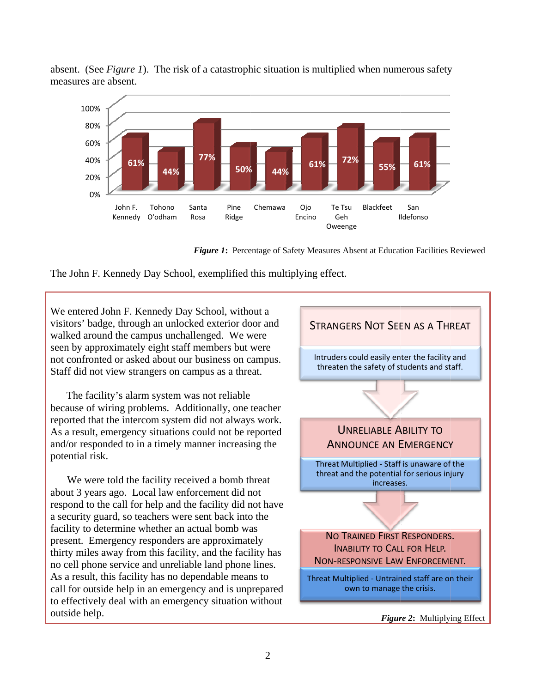



Figure 1: Percentage of Safety Measures Absent at Education Facilities Reviewed



We entered John F. Kennedy Day School, without a visitors' badge, through an unlocked exterior door and walked around the campus unchallenged. We were seen by approximately eight staff members but were not confronted or asked about our business on campus. Staff did not view strangers on campus as a threat.

The facility's alarm system was not reliable because of wiring problems. Additionally, one teacher reported that the intercom system did not always work. As a result, emergency situations could not be reported and/or responded to in a timely manner increasing the potential risk.

We were told the facility received a bomb threat about 3 years ago. Local law enforcement did not respond to the call for help and the facility did not have a security guard, so teachers were sent back into the facility to determine whether an actual bomb was present. Emergency responders are approximately thirty miles away from this facility, and the facility has no cell phone service and unreliable land phone lines. As a result, this facility has no dependable means to call for outside help in an emergency and is unprepared to effectively deal with an emergency situation without outside help.



Figure 2: Multiplying Effect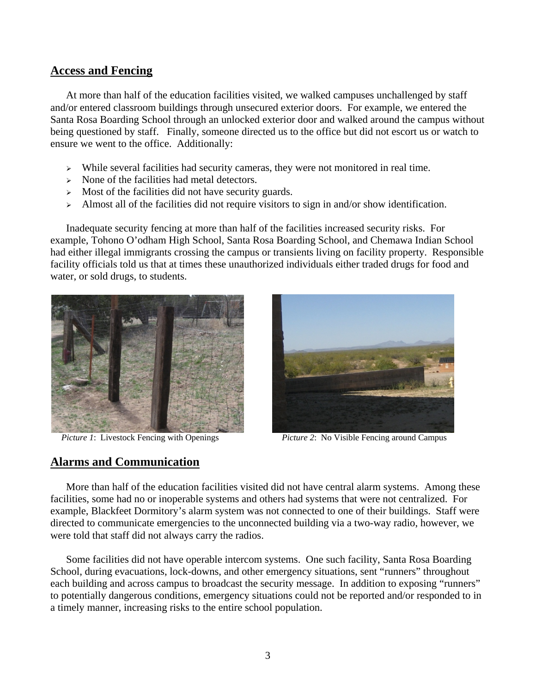#### **Access and Fencing**

At more than half of the education facilities visited, we walked campuses unchallenged by staff and/or entered classroom buildings through unsecured exterior doors. For example, we entered the Santa Rosa Boarding School through an unlocked exterior door and walked around the campus without being questioned by staff. Finally, someone directed us to the office but did not escort us or watch to ensure we went to the office. Additionally:

- <sup>¾</sup> While several facilities had security cameras, they were not monitored in real time.
- $\triangleright$  None of the facilities had metal detectors.
- $\triangleright$  Most of the facilities did not have security guards.
- $\geq$  Almost all of the facilities did not require visitors to sign in and/or show identification.

 Inadequate security fencing at more than half of the facilities increased security risks. For example, Tohono O'odham High School, Santa Rosa Boarding School, and Chemawa Indian School had either illegal immigrants crossing the campus or transients living on facility property. Responsible facility officials told us that at times these unauthorized individuals either traded drugs for food and water, or sold drugs, to students.





*Picture 1*: Livestock Fencing with Openings *Picture 2*: No Visible Fencing around Campus

#### **Alarms and Communication**

 More than half of the education facilities visited did not have central alarm systems. Among these facilities, some had no or inoperable systems and others had systems that were not centralized. For example, Blackfeet Dormitory's alarm system was not connected to one of their buildings. Staff were directed to communicate emergencies to the unconnected building via a two-way radio, however, we were told that staff did not always carry the radios.

 Some facilities did not have operable intercom systems. One such facility, Santa Rosa Boarding School, during evacuations, lock-downs, and other emergency situations, sent "runners" throughout each building and across campus to broadcast the security message. In addition to exposing "runners" to potentially dangerous conditions, emergency situations could not be reported and/or responded to in a timely manner, increasing risks to the entire school population.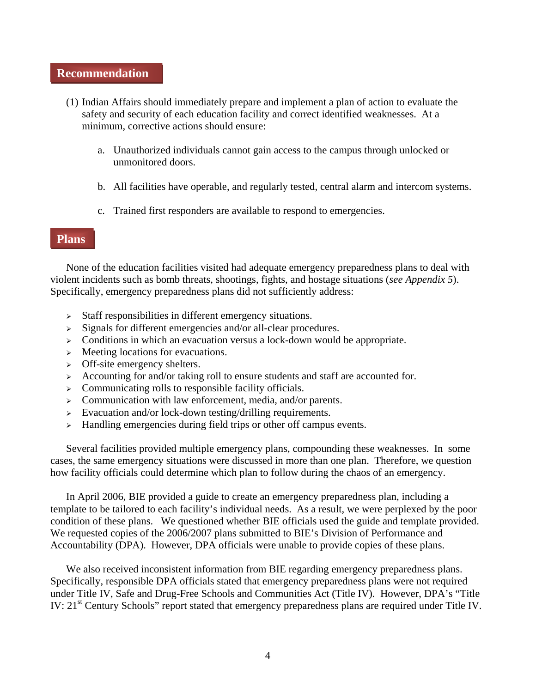#### **Recommendation**

- (1) Indian Affairs should immediately prepare and implement a plan of action to evaluate the safety and security of each education facility and correct identified weaknesses. At a minimum, corrective actions should ensure:
	- a. Unauthorized individuals cannot gain access to the campus through unlocked or unmonitored doors.
	- b. All facilities have operable, and regularly tested, central alarm and intercom systems.
	- c. Trained first responders are available to respond to emergencies.

#### **Plans**

 None of the education facilities visited had adequate emergency preparedness plans to deal with violent incidents such as bomb threats, shootings, fights, and hostage situations (*see Appendix 5*). Specifically, emergency preparedness plans did not sufficiently address:

- $\triangleright$  Staff responsibilities in different emergency situations.
- $\triangleright$  Signals for different emergencies and/or all-clear procedures.
- $\triangleright$  Conditions in which an evacuation versus a lock-down would be appropriate.
- $\triangleright$  Meeting locations for evacuations.
- $\triangleright$  Off-site emergency shelters.
- $\geq$  Accounting for and/or taking roll to ensure students and staff are accounted for.
- $\triangleright$  Communicating rolls to responsible facility officials.
- $\geq$  Communication with law enforcement, media, and/or parents.
- $\triangleright$  Evacuation and/or lock-down testing/drilling requirements.
- $\rightarrow$  Handling emergencies during field trips or other off campus events.

 Several facilities provided multiple emergency plans, compounding these weaknesses. In some cases, the same emergency situations were discussed in more than one plan. Therefore, we question how facility officials could determine which plan to follow during the chaos of an emergency.

 In April 2006, BIE provided a guide to create an emergency preparedness plan, including a template to be tailored to each facility's individual needs. As a result, we were perplexed by the poor condition of these plans. We questioned whether BIE officials used the guide and template provided. We requested copies of the 2006/2007 plans submitted to BIE's Division of Performance and Accountability (DPA). However, DPA officials were unable to provide copies of these plans.

We also received inconsistent information from BIE regarding emergency preparedness plans. Specifically, responsible DPA officials stated that emergency preparedness plans were not required under Title IV, Safe and Drug-Free Schools and Communities Act (Title IV). However, DPA's "Title IV: 21<sup>st</sup> Century Schools" report stated that emergency preparedness plans are required under Title IV.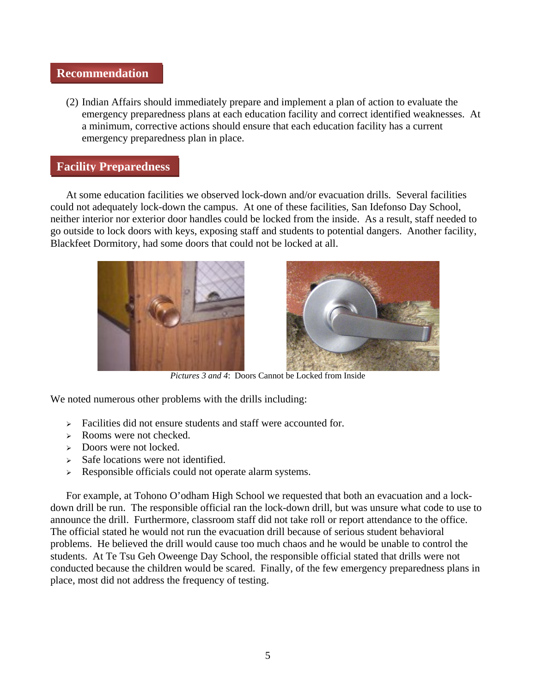#### **Recommendation**

(2) Indian Affairs should immediately prepare and implement a plan of action to evaluate the emergency preparedness plans at each education facility and correct identified weaknesses. At a minimum, corrective actions should ensure that each education facility has a current emergency preparedness plan in place.

#### **Facility Preparedness**

 At some education facilities we observed lock-down and/or evacuation drills. Several facilities could not adequately lock-down the campus. At one of these facilities, San Idefonso Day School, neither interior nor exterior door handles could be locked from the inside. As a result, staff needed to go outside to lock doors with keys, exposing staff and students to potential dangers. Another facility, Blackfeet Dormitory, had some doors that could not be locked at all.





*Pictures 3 and 4*: Doors Cannot be Locked from Inside

We noted numerous other problems with the drills including:

- $\triangleright$  Facilities did not ensure students and staff were accounted for.
- <sup>¾</sup> Rooms were not checked.
- $\geq$  Doors were not locked.
- $\triangleright$  Safe locations were not identified.
- <sup>¾</sup> Responsible officials could not operate alarm systems.

 For example, at Tohono O'odham High School we requested that both an evacuation and a lockdown drill be run. The responsible official ran the lock-down drill, but was unsure what code to use to announce the drill. Furthermore, classroom staff did not take roll or report attendance to the office. The official stated he would not run the evacuation drill because of serious student behavioral problems. He believed the drill would cause too much chaos and he would be unable to control the students. At Te Tsu Geh Oweenge Day School, the responsible official stated that drills were not conducted because the children would be scared. Finally, of the few emergency preparedness plans in place, most did not address the frequency of testing.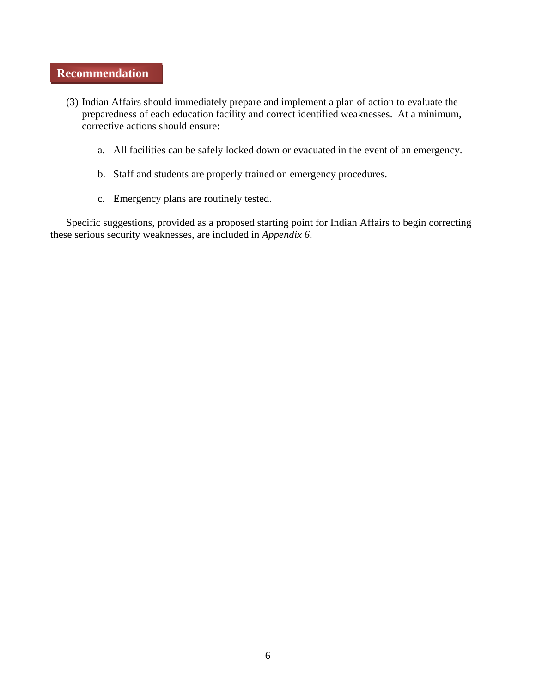#### **Recommendation**

- (3) Indian Affairs should immediately prepare and implement a plan of action to evaluate the preparedness of each education facility and correct identified weaknesses. At a minimum, corrective actions should ensure:
	- a. All facilities can be safely locked down or evacuated in the event of an emergency.
	- b. Staff and students are properly trained on emergency procedures.
	- c. Emergency plans are routinely tested.

 Specific suggestions, provided as a proposed starting point for Indian Affairs to begin correcting these serious security weaknesses, are included in *Appendix 6*.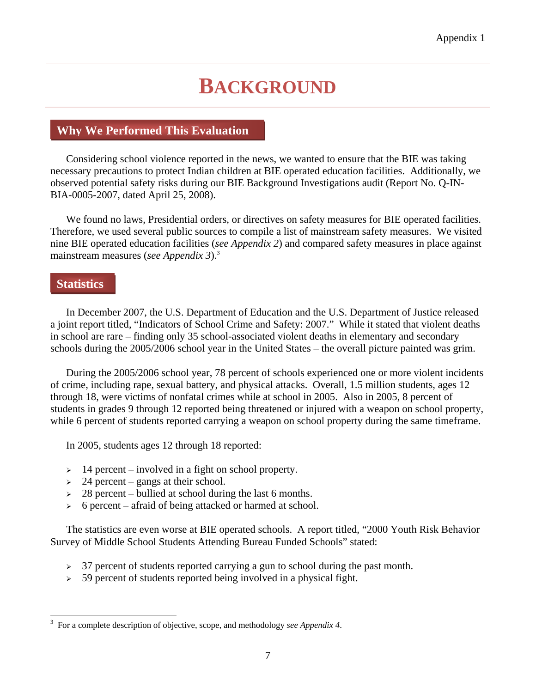## **BACKGROUND**

#### **Why We Performed This Evaluation**

 Considering school violence reported in the news, we wanted to ensure that the BIE was taking necessary precautions to protect Indian children at BIE operated education facilities. Additionally, we observed potential safety risks during our BIE Background Investigations audit (Report No. Q-IN-BIA-0005-2007, dated April 25, 2008).

 We found no laws, Presidential orders, or directives on safety measures for BIE operated facilities. Therefore, we used several public sources to compile a list of mainstream safety measures. We visited nine BIE operated education facilities (*see Appendix 2*) and compared safety measures in place against mainstream measures (*see Appendix 3*).3

#### **Statistics**

 $\overline{a}$ 

 In December 2007, the U.S. Department of Education and the U.S. Department of Justice released a joint report titled, "Indicators of School Crime and Safety: 2007." While it stated that violent deaths in school are rare – finding only 35 school-associated violent deaths in elementary and secondary schools during the 2005/2006 school year in the United States – the overall picture painted was grim.

 During the 2005/2006 school year, 78 percent of schools experienced one or more violent incidents of crime, including rape, sexual battery, and physical attacks. Overall, 1.5 million students, ages 12 through 18, were victims of nonfatal crimes while at school in 2005. Also in 2005, 8 percent of students in grades 9 through 12 reported being threatened or injured with a weapon on school property, while 6 percent of students reported carrying a weapon on school property during the same timeframe.

In 2005, students ages 12 through 18 reported:

- $\geq 14$  percent involved in a fight on school property.
- $\geq$  24 percent gangs at their school.
- $\geq$  28 percent bullied at school during the last 6 months.
- $\geq 6$  percent afraid of being attacked or harmed at school.

 The statistics are even worse at BIE operated schools. A report titled, "2000 Youth Risk Behavior Survey of Middle School Students Attending Bureau Funded Schools" stated:

- <sup>¾</sup> 37 percent of students reported carrying a gun to school during the past month.
- <sup>¾</sup> 59 percent of students reported being involved in a physical fight.

<sup>3</sup> For a complete description of objective, scope, and methodology *see Appendix 4*.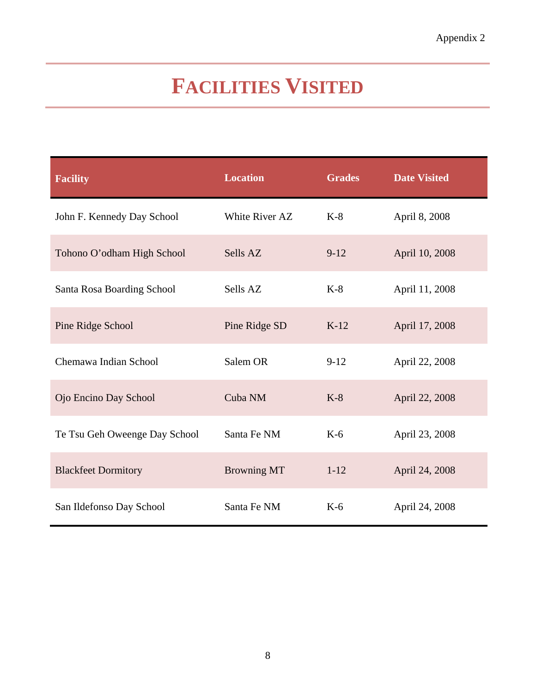## **FACILITIES VISITED**

| <b>Facility</b>               | <b>Location</b>    | <b>Grades</b> | <b>Date Visited</b> |
|-------------------------------|--------------------|---------------|---------------------|
| John F. Kennedy Day School    | White River AZ     | $K-8$         | April 8, 2008       |
| Tohono O'odham High School    | Sells AZ           | $9 - 12$      | April 10, 2008      |
| Santa Rosa Boarding School    | Sells AZ           | $K-8$         | April 11, 2008      |
| Pine Ridge School             | Pine Ridge SD      | $K-12$        | April 17, 2008      |
| Chemawa Indian School         | Salem OR           | $9 - 12$      | April 22, 2008      |
| Ojo Encino Day School         | Cuba NM            | $K-8$         | April 22, 2008      |
| Te Tsu Geh Oweenge Day School | Santa Fe NM        | $K-6$         | April 23, 2008      |
| <b>Blackfeet Dormitory</b>    | <b>Browning MT</b> | $1 - 12$      | April 24, 2008      |
| San Ildefonso Day School      | Santa Fe NM        | $K-6$         | April 24, 2008      |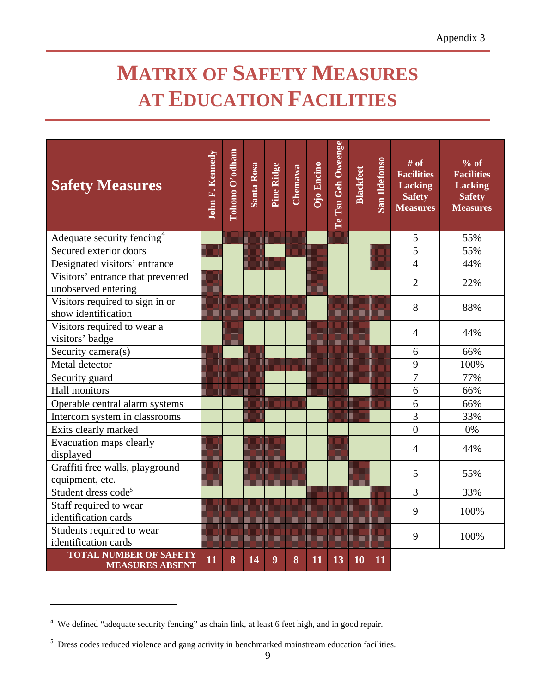## **MATRIX OF SAFETY MEASURES AT EDUCATION FACILITIES**

| <b>Safety Measures</b>                                   | <b>John F. Kennedy</b> | Tohono O'odham | Santa Rosa | Pine Ridge | <b>Chemawa</b> | Ojo Encino | Te Tsu Geh Oweenge | <b>Blackfeet</b> | San Ildefonso | $#$ of<br><b>Facilities</b><br><b>Lacking</b><br><b>Safety</b><br><b>Measures</b> | $%$ of<br><b>Facilities</b><br><b>Lacking</b><br><b>Safety</b><br><b>Measures</b> |
|----------------------------------------------------------|------------------------|----------------|------------|------------|----------------|------------|--------------------|------------------|---------------|-----------------------------------------------------------------------------------|-----------------------------------------------------------------------------------|
| Adequate security fencing <sup>4</sup>                   |                        |                |            |            |                |            |                    |                  |               | 5                                                                                 | 55%                                                                               |
| Secured exterior doors                                   |                        |                |            |            |                |            |                    |                  |               | $\overline{5}$                                                                    | 55%                                                                               |
| Designated visitors' entrance                            |                        |                |            |            |                |            |                    |                  |               | $\overline{4}$                                                                    | 44%                                                                               |
| Visitors' entrance that prevented<br>unobserved entering |                        |                |            |            |                |            |                    |                  |               | $\overline{2}$                                                                    | 22%                                                                               |
| Visitors required to sign in or<br>show identification   |                        |                |            |            |                |            |                    |                  |               | 8                                                                                 | 88%                                                                               |
| Visitors required to wear a<br>visitors' badge           |                        |                |            |            |                |            |                    |                  |               | $\overline{4}$                                                                    | 44%                                                                               |
| Security camera(s)                                       |                        |                |            |            |                |            |                    |                  |               | 6                                                                                 | 66%                                                                               |
| Metal detector                                           |                        |                |            |            |                |            |                    |                  |               | 9                                                                                 | 100%                                                                              |
| Security guard                                           |                        |                |            |            |                |            |                    |                  |               | 7                                                                                 | 77%                                                                               |
| <b>Hall monitors</b>                                     |                        |                |            |            |                |            |                    |                  |               | 6                                                                                 | 66%                                                                               |
| Operable central alarm systems                           |                        |                |            |            |                |            |                    |                  |               | 6                                                                                 | 66%                                                                               |
| Intercom system in classrooms                            |                        |                |            |            |                |            |                    |                  |               | $\overline{3}$                                                                    | 33%                                                                               |
| Exits clearly marked                                     |                        |                |            |            |                |            |                    |                  |               | $\overline{0}$                                                                    | 0%                                                                                |
| Evacuation maps clearly<br>displayed                     |                        |                |            |            |                |            |                    |                  |               | 4                                                                                 | 44%                                                                               |
| Graffiti free walls, playground<br>equipment, etc.       |                        |                |            |            |                |            |                    |                  |               | 5                                                                                 | 55%                                                                               |
| Student dress code <sup>5</sup>                          |                        |                |            |            |                |            |                    |                  |               | 3                                                                                 | 33%                                                                               |
| Staff required to wear<br>identification cards           |                        |                |            |            |                |            |                    |                  |               | 9                                                                                 | 100%                                                                              |
| Students required to wear<br>identification cards        |                        |                |            |            |                |            |                    |                  |               | 9                                                                                 | 100%                                                                              |
| <b>TOTAL NUMBER OF SAFETY</b><br><b>MEASURES ABSENT</b>  | 11                     | 8              | 14         | 9          | 8              | 11         | 13                 | 10               | 11            |                                                                                   |                                                                                   |

 $\overline{a}$ 

<sup>&</sup>lt;sup>4</sup> We defined "adequate security fencing" as chain link, at least 6 feet high, and in good repair.

<sup>&</sup>lt;sup>5</sup> Dress codes reduced violence and gang activity in benchmarked mainstream education facilities.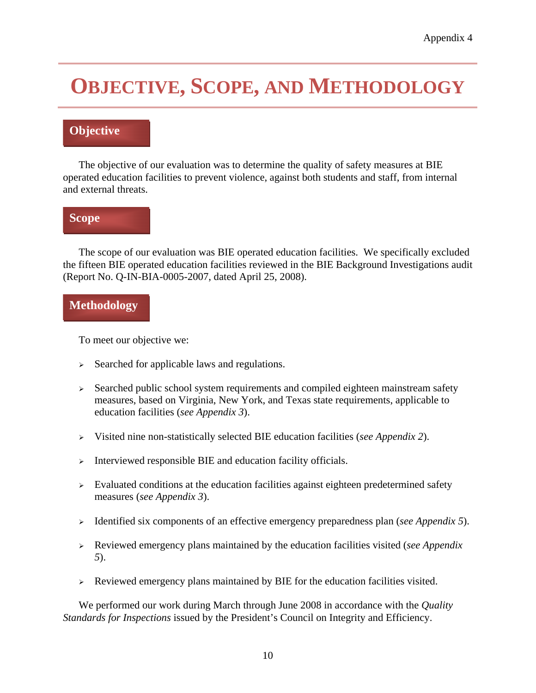## **OBJECTIVE, SCOPE, AND METHODOLOGY**

#### **Objective**

 The objective of our evaluation was to determine the quality of safety measures at BIE operated education facilities to prevent violence, against both students and staff, from internal and external threats.

#### **Scope**

 The scope of our evaluation was BIE operated education facilities. We specifically excluded the fifteen BIE operated education facilities reviewed in the BIE Background Investigations audit (Report No. Q-IN-BIA-0005-2007, dated April 25, 2008).

#### **Methodology**

To meet our objective we:

- <sup>¾</sup> Searched for applicable laws and regulations.
- $\triangleright$  Searched public school system requirements and compiled eighteen mainstream safety measures, based on Virginia, New York, and Texas state requirements, applicable to education facilities (*see Appendix 3*).
- <sup>¾</sup> Visited nine non-statistically selected BIE education facilities (*see Appendix 2*).
- $\triangleright$  Interviewed responsible BIE and education facility officials.
- $\triangleright$  Evaluated conditions at the education facilities against eighteen predetermined safety measures (*see Appendix 3*).
- <sup>¾</sup> Identified six components of an effective emergency preparedness plan (*see Appendix 5*).
- <sup>¾</sup> Reviewed emergency plans maintained by the education facilities visited (*see Appendix 5*).
- <sup>¾</sup> Reviewed emergency plans maintained by BIE for the education facilities visited.

 We performed our work during March through June 2008 in accordance with the *Quality Standards for Inspections* issued by the President's Council on Integrity and Efficiency.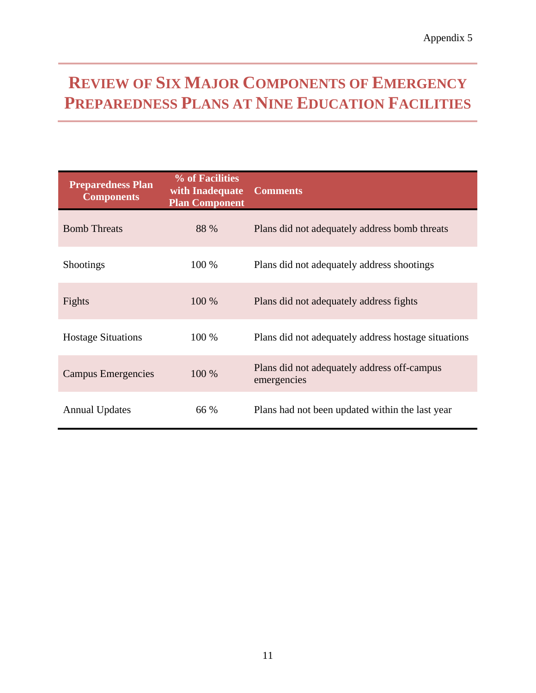### **REVIEW OF SIX MAJOR COMPONENTS OF EMERGENCY PREPAREDNESS PLANS AT NINE EDUCATION FACILITIES**

| <b>Preparedness Plan</b><br><b>Components</b> | % of Facilities<br>with Inadequate<br><b>Plan Component</b> | <b>Comments</b>                                            |
|-----------------------------------------------|-------------------------------------------------------------|------------------------------------------------------------|
| <b>Bomb Threats</b>                           | 88 %                                                        | Plans did not adequately address bomb threats              |
| <b>Shootings</b>                              | 100 %                                                       | Plans did not adequately address shootings                 |
| Fights                                        | 100 %                                                       | Plans did not adequately address fights                    |
| <b>Hostage Situations</b>                     | 100 %                                                       | Plans did not adequately address hostage situations        |
| Campus Emergencies                            | 100 %                                                       | Plans did not adequately address off-campus<br>emergencies |
| <b>Annual Updates</b>                         | 66 %                                                        | Plans had not been updated within the last year            |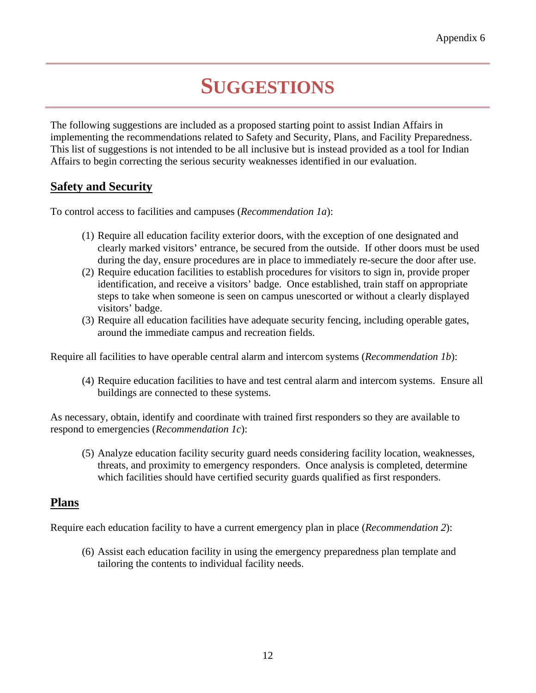## **SUGGESTIONS**

The following suggestions are included as a proposed starting point to assist Indian Affairs in implementing the recommendations related to Safety and Security, Plans, and Facility Preparedness. This list of suggestions is not intended to be all inclusive but is instead provided as a tool for Indian Affairs to begin correcting the serious security weaknesses identified in our evaluation.

#### **Safety and Security**

To control access to facilities and campuses (*Recommendation 1a*):

- (1) Require all education facility exterior doors, with the exception of one designated and clearly marked visitors' entrance, be secured from the outside. If other doors must be used during the day, ensure procedures are in place to immediately re-secure the door after use.
- (2) Require education facilities to establish procedures for visitors to sign in, provide proper identification, and receive a visitors' badge. Once established, train staff on appropriate steps to take when someone is seen on campus unescorted or without a clearly displayed visitors' badge.
- (3) Require all education facilities have adequate security fencing, including operable gates, around the immediate campus and recreation fields.

Require all facilities to have operable central alarm and intercom systems (*Recommendation 1b*):

(4) Require education facilities to have and test central alarm and intercom systems. Ensure all buildings are connected to these systems.

As necessary, obtain, identify and coordinate with trained first responders so they are available to respond to emergencies (*Recommendation 1c*):

(5) Analyze education facility security guard needs considering facility location, weaknesses, threats, and proximity to emergency responders. Once analysis is completed, determine which facilities should have certified security guards qualified as first responders.

#### **Plans**

Require each education facility to have a current emergency plan in place (*Recommendation 2*):

(6) Assist each education facility in using the emergency preparedness plan template and tailoring the contents to individual facility needs.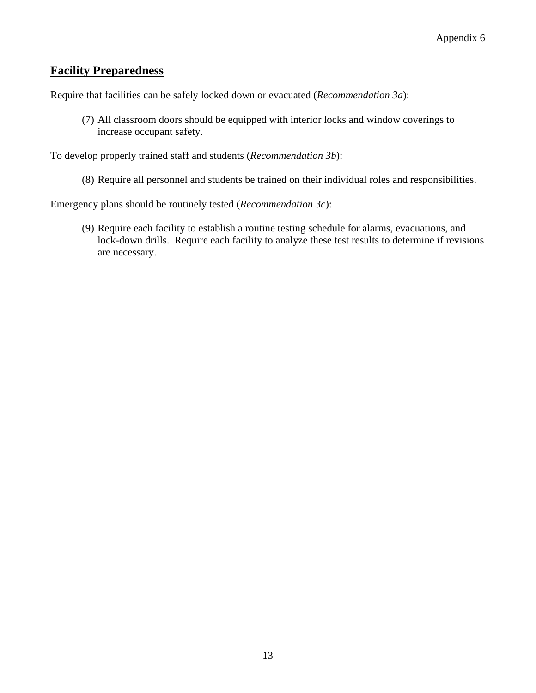#### **Facility Preparedness**

Require that facilities can be safely locked down or evacuated (*Recommendation 3a*):

(7) All classroom doors should be equipped with interior locks and window coverings to increase occupant safety.

To develop properly trained staff and students (*Recommendation 3b*):

(8) Require all personnel and students be trained on their individual roles and responsibilities.

Emergency plans should be routinely tested (*Recommendation 3c*):

(9) Require each facility to establish a routine testing schedule for alarms, evacuations, and lock-down drills. Require each facility to analyze these test results to determine if revisions are necessary.